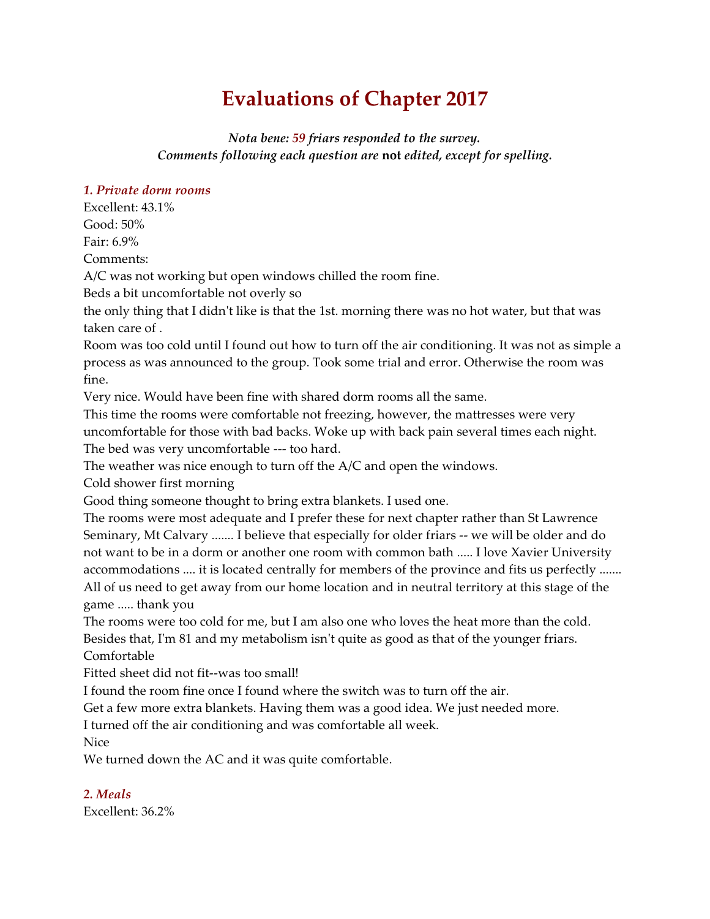# **Evaluations of Chapter 2017**

*Nota bene: 59 friars responded to the survey. Comments following each question are* **not** *edited, except for spelling.*

#### *1. Private dorm rooms*

Excellent: 43.1% Good: 50%

Fair: 6.9% Comments:

A/C was not working but open windows chilled the room fine.

Beds a bit uncomfortable not overly so

the only thing that I didn't like is that the 1st. morning there was no hot water, but that was taken care of .

Room was too cold until I found out how to turn off the air conditioning. It was not as simple a process as was announced to the group. Took some trial and error. Otherwise the room was fine.

Very nice. Would have been fine with shared dorm rooms all the same.

This time the rooms were comfortable not freezing, however, the mattresses were very uncomfortable for those with bad backs. Woke up with back pain several times each night. The bed was very uncomfortable --- too hard.

The weather was nice enough to turn off the A/C and open the windows.

Cold shower first morning

Good thing someone thought to bring extra blankets. I used one.

The rooms were most adequate and I prefer these for next chapter rather than St Lawrence Seminary, Mt Calvary ....... I believe that especially for older friars -- we will be older and do not want to be in a dorm or another one room with common bath ..... I love Xavier University accommodations .... it is located centrally for members of the province and fits us perfectly ....... All of us need to get away from our home location and in neutral territory at this stage of the game ..... thank you

The rooms were too cold for me, but I am also one who loves the heat more than the cold. Besides that, I'm 81 and my metabolism isn't quite as good as that of the younger friars. Comfortable

Fitted sheet did not fit--was too small!

I found the room fine once I found where the switch was to turn off the air.

Get a few more extra blankets. Having them was a good idea. We just needed more.

I turned off the air conditioning and was comfortable all week.

Nice

We turned down the AC and it was quite comfortable.

## *2. Meals*

Excellent: 36.2%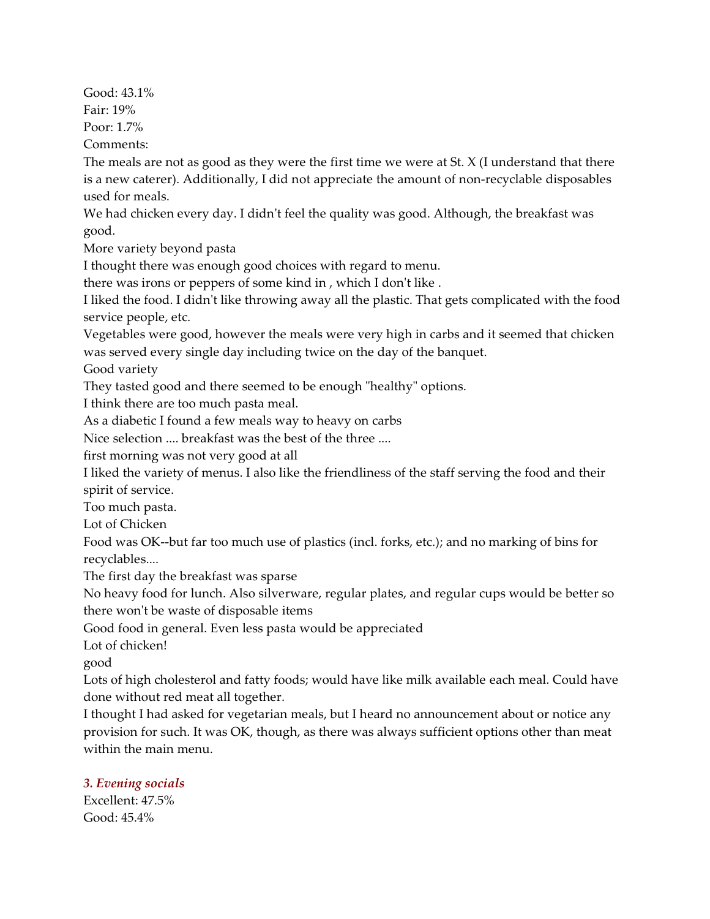Good: 43.1% Fair: 19%

Poor: 1.7%

Comments:

The meals are not as good as they were the first time we were at St. X (I understand that there is a new caterer). Additionally, I did not appreciate the amount of non-recyclable disposables used for meals.

We had chicken every day. I didn't feel the quality was good. Although, the breakfast was good.

More variety beyond pasta

I thought there was enough good choices with regard to menu.

there was irons or peppers of some kind in , which I don't like .

I liked the food. I didn't like throwing away all the plastic. That gets complicated with the food service people, etc.

Vegetables were good, however the meals were very high in carbs and it seemed that chicken was served every single day including twice on the day of the banquet.

Good variety

They tasted good and there seemed to be enough "healthy" options.

I think there are too much pasta meal.

As a diabetic I found a few meals way to heavy on carbs

Nice selection .... breakfast was the best of the three ....

first morning was not very good at all

I liked the variety of menus. I also like the friendliness of the staff serving the food and their spirit of service.

Too much pasta.

Lot of Chicken

Food was OK--but far too much use of plastics (incl. forks, etc.); and no marking of bins for recyclables....

The first day the breakfast was sparse

No heavy food for lunch. Also silverware, regular plates, and regular cups would be better so there won't be waste of disposable items

Good food in general. Even less pasta would be appreciated

Lot of chicken!

good

Lots of high cholesterol and fatty foods; would have like milk available each meal. Could have done without red meat all together.

I thought I had asked for vegetarian meals, but I heard no announcement about or notice any provision for such. It was OK, though, as there was always sufficient options other than meat within the main menu.

# *3. Evening socials*

Excellent: 47.5% Good: 45.4%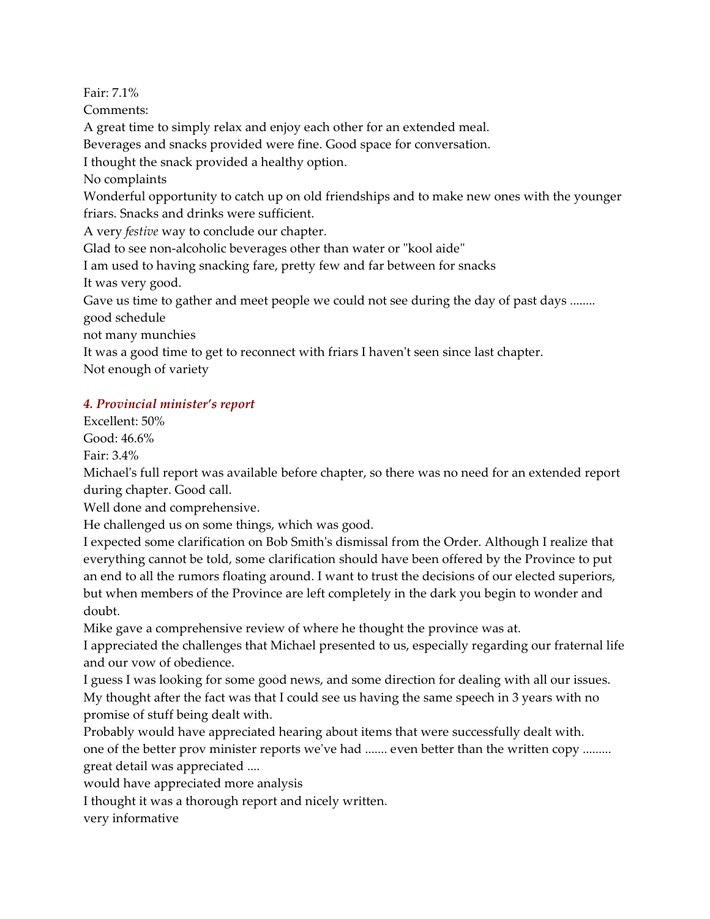Fair: 7.1%

Comments:

A great time to simply relax and enjoy each other for an extended meal.

Beverages and snacks provided were fine. Good space for conversation.

I thought the snack provided a healthy option.

No complaints

Wonderful opportunity to catch up on old friendships and to make new ones with the younger friars. Snacks and drinks were sufficient.

A very *festive* way to conclude our chapter.

Glad to see non-alcoholic beverages other than water or "kool aide"

I am used to having snacking fare, pretty few and far between for snacks

It was very good.

Gave us time to gather and meet people we could not see during the day of past days ........ good schedule

not many munchies

It was a good time to get to reconnect with friars I haven't seen since last chapter. Not enough of variety

# *4. Provincial minister's report*

Excellent: 50%

Good: 46.6%

Fair: 3.4%

Michael's full report was available before chapter, so there was no need for an extended report during chapter. Good call.

Well done and comprehensive.

He challenged us on some things, which was good.

I expected some clarification on Bob Smith's dismissal from the Order. Although I realize that everything cannot be told, some clarification should have been offered by the Province to put an end to all the rumors floating around. I want to trust the decisions of our elected superiors, but when members of the Province are left completely in the dark you begin to wonder and doubt.

Mike gave a comprehensive review of where he thought the province was at.

I appreciated the challenges that Michael presented to us, especially regarding our fraternal life and our vow of obedience.

I guess I was looking for some good news, and some direction for dealing with all our issues. My thought after the fact was that I could see us having the same speech in 3 years with no promise of stuff being dealt with.

Probably would have appreciated hearing about items that were successfully dealt with. one of the better prov minister reports we've had ....... even better than the written copy ......... great detail was appreciated ....

would have appreciated more analysis

I thought it was a thorough report and nicely written.

very informative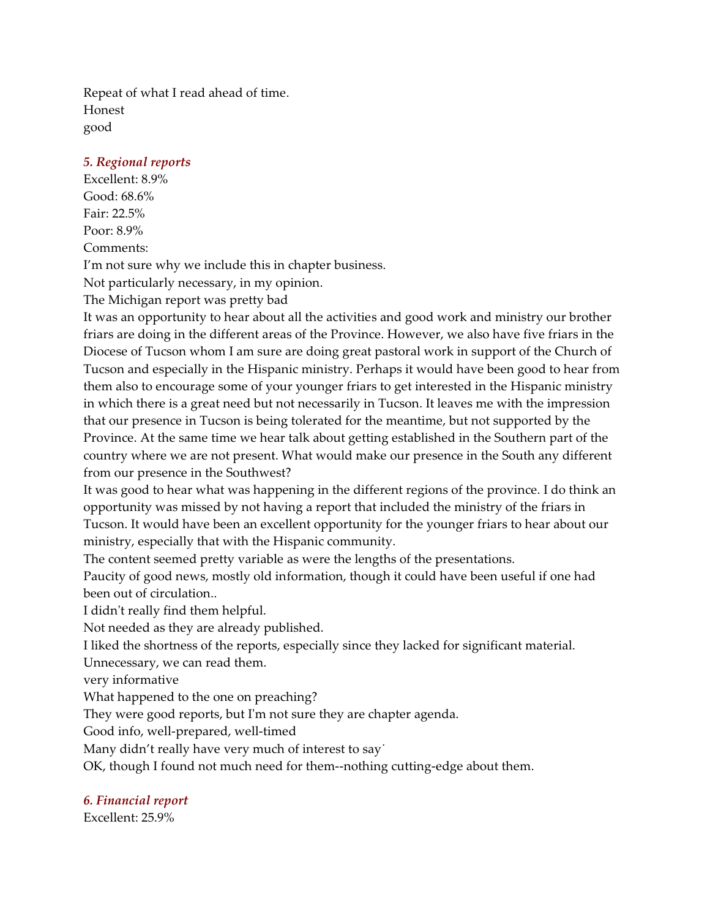Repeat of what I read ahead of time. Honest good

## *5. Regional reports*

Excellent: 8.9% Good: 68.6% Fair: 22.5% Poor: 8.9% Comments:

I'm not sure why we include this in chapter business.

Not particularly necessary, in my opinion.

The Michigan report was pretty bad

It was an opportunity to hear about all the activities and good work and ministry our brother friars are doing in the different areas of the Province. However, we also have five friars in the Diocese of Tucson whom I am sure are doing great pastoral work in support of the Church of Tucson and especially in the Hispanic ministry. Perhaps it would have been good to hear from them also to encourage some of your younger friars to get interested in the Hispanic ministry in which there is a great need but not necessarily in Tucson. It leaves me with the impression that our presence in Tucson is being tolerated for the meantime, but not supported by the Province. At the same time we hear talk about getting established in the Southern part of the country where we are not present. What would make our presence in the South any different from our presence in the Southwest?

It was good to hear what was happening in the different regions of the province. I do think an opportunity was missed by not having a report that included the ministry of the friars in Tucson. It would have been an excellent opportunity for the younger friars to hear about our ministry, especially that with the Hispanic community.

The content seemed pretty variable as were the lengths of the presentations.

Paucity of good news, mostly old information, though it could have been useful if one had been out of circulation..

I didn't really find them helpful.

Not needed as they are already published.

I liked the shortness of the reports, especially since they lacked for significant material.

Unnecessary, we can read them.

very informative

What happened to the one on preaching?

They were good reports, but I'm not sure they are chapter agenda.

Good info, well-prepared, well-timed

Many didn't really have very much of interest to say

OK, though I found not much need for them--nothing cutting-edge about them.

*6. Financial report*

Excellent: 25.9%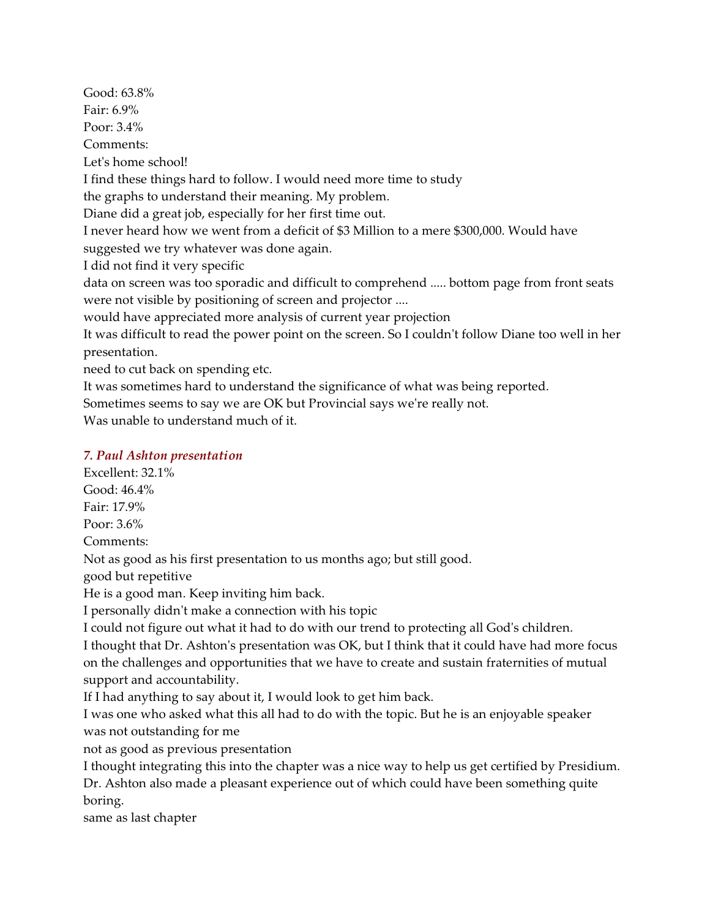Good: 63.8% Fair: 6.9% Poor: 3.4% Comments: Let's home school! I find these things hard to follow. I would need more time to study the graphs to understand their meaning. My problem. Diane did a great job, especially for her first time out. I never heard how we went from a deficit of \$3 Million to a mere \$300,000. Would have suggested we try whatever was done again. I did not find it very specific data on screen was too sporadic and difficult to comprehend ..... bottom page from front seats were not visible by positioning of screen and projector .... would have appreciated more analysis of current year projection It was difficult to read the power point on the screen. So I couldn't follow Diane too well in her presentation. need to cut back on spending etc. It was sometimes hard to understand the significance of what was being reported.

Sometimes seems to say we are OK but Provincial says we're really not.

Was unable to understand much of it.

## *7. Paul Ashton presentation*

Excellent: 32.1% Good: 46.4% Fair: 17.9% Poor: 3.6% Comments: Not as good as his first presentation to us months ago; but still good. good but repetitive He is a good man. Keep inviting him back. I personally didn't make a connection with his topic I could not figure out what it had to do with our trend to protecting all God's children. I thought that Dr. Ashton's presentation was OK, but I think that it could have had more focus

on the challenges and opportunities that we have to create and sustain fraternities of mutual support and accountability.

If I had anything to say about it, I would look to get him back.

I was one who asked what this all had to do with the topic. But he is an enjoyable speaker was not outstanding for me

not as good as previous presentation

I thought integrating this into the chapter was a nice way to help us get certified by Presidium. Dr. Ashton also made a pleasant experience out of which could have been something quite boring.

same as last chapter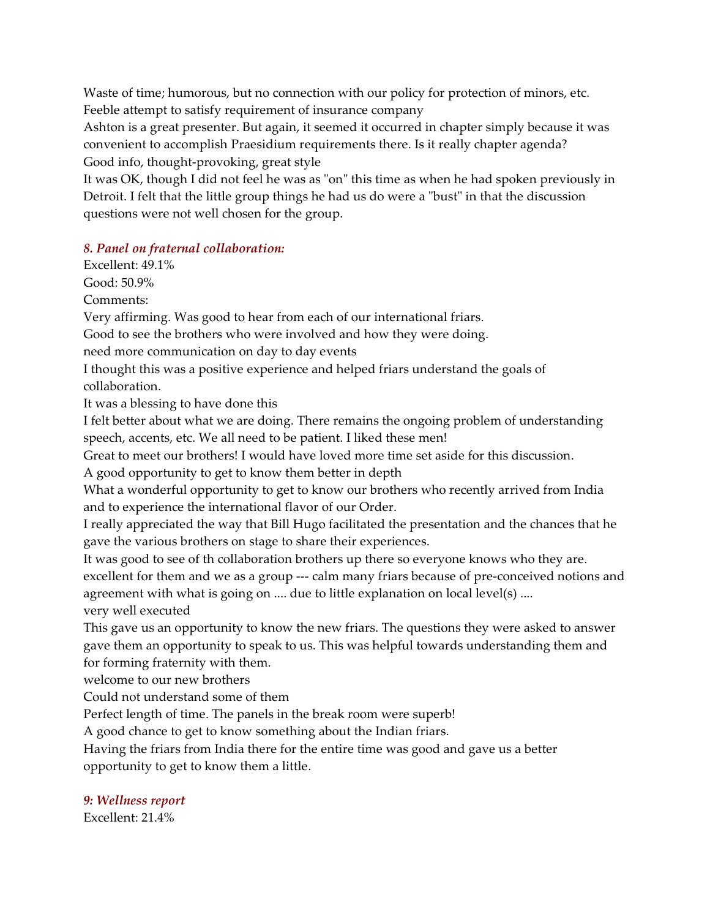Waste of time; humorous, but no connection with our policy for protection of minors, etc. Feeble attempt to satisfy requirement of insurance company

Ashton is a great presenter. But again, it seemed it occurred in chapter simply because it was convenient to accomplish Praesidium requirements there. Is it really chapter agenda? Good info, thought-provoking, great style

It was OK, though I did not feel he was as "on" this time as when he had spoken previously in Detroit. I felt that the little group things he had us do were a "bust" in that the discussion questions were not well chosen for the group.

## *8. Panel on fraternal collaboration:*

Excellent: 49.1%

Good: 50.9%

Comments:

Very affirming. Was good to hear from each of our international friars.

Good to see the brothers who were involved and how they were doing.

need more communication on day to day events

I thought this was a positive experience and helped friars understand the goals of collaboration.

It was a blessing to have done this

I felt better about what we are doing. There remains the ongoing problem of understanding speech, accents, etc. We all need to be patient. I liked these men!

Great to meet our brothers! I would have loved more time set aside for this discussion.

A good opportunity to get to know them better in depth

What a wonderful opportunity to get to know our brothers who recently arrived from India and to experience the international flavor of our Order.

I really appreciated the way that Bill Hugo facilitated the presentation and the chances that he gave the various brothers on stage to share their experiences.

It was good to see of th collaboration brothers up there so everyone knows who they are. excellent for them and we as a group --- calm many friars because of pre-conceived notions and agreement with what is going on .... due to little explanation on local level(s) .... very well executed

This gave us an opportunity to know the new friars. The questions they were asked to answer gave them an opportunity to speak to us. This was helpful towards understanding them and for forming fraternity with them.

welcome to our new brothers

Could not understand some of them

Perfect length of time. The panels in the break room were superb!

A good chance to get to know something about the Indian friars.

Having the friars from India there for the entire time was good and gave us a better opportunity to get to know them a little.

*9: Wellness report*

Excellent: 21.4%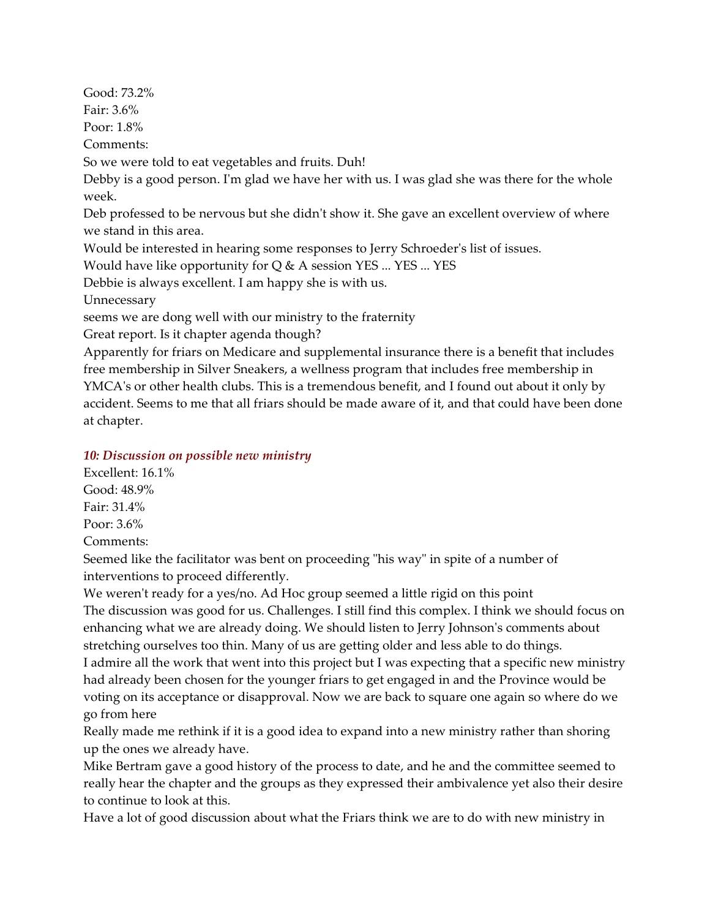Good: 73.2% Fair: 3.6% Poor: 1.8% Comments: So we were told to eat vegetables and fruits. Duh! Debby is a good person. I'm glad we have her with us. I was glad she was there for the whole week. Deb professed to be nervous but she didn't show it. She gave an excellent overview of where we stand in this area. Would be interested in hearing some responses to Jerry Schroeder's list of issues. Would have like opportunity for  $Q & A$  session YES ... YES ... YES Debbie is always excellent. I am happy she is with us. Unnecessary seems we are dong well with our ministry to the fraternity Great report. Is it chapter agenda though? Apparently for friars on Medicare and supplemental insurance there is a benefit that includes free membership in Silver Sneakers, a wellness program that includes free membership in YMCA's or other health clubs. This is a tremendous benefit, and I found out about it only by

accident. Seems to me that all friars should be made aware of it, and that could have been done at chapter.

#### *10: Discussion on possible new ministry*

Excellent: 16.1% Good: 48.9% Fair: 31.4% Poor: 3.6% Comments:

Seemed like the facilitator was bent on proceeding "his way" in spite of a number of interventions to proceed differently.

We weren't ready for a yes/no. Ad Hoc group seemed a little rigid on this point The discussion was good for us. Challenges. I still find this complex. I think we should focus on enhancing what we are already doing. We should listen to Jerry Johnson's comments about stretching ourselves too thin. Many of us are getting older and less able to do things. I admire all the work that went into this project but I was expecting that a specific new ministry

had already been chosen for the younger friars to get engaged in and the Province would be voting on its acceptance or disapproval. Now we are back to square one again so where do we go from here

Really made me rethink if it is a good idea to expand into a new ministry rather than shoring up the ones we already have.

Mike Bertram gave a good history of the process to date, and he and the committee seemed to really hear the chapter and the groups as they expressed their ambivalence yet also their desire to continue to look at this.

Have a lot of good discussion about what the Friars think we are to do with new ministry in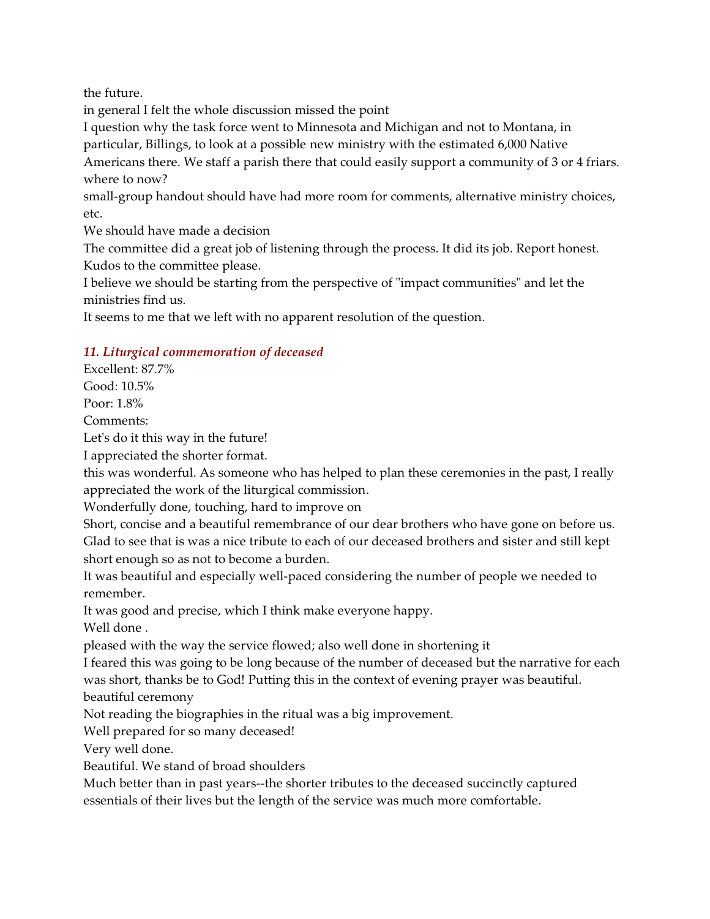the future.

in general I felt the whole discussion missed the point

I question why the task force went to Minnesota and Michigan and not to Montana, in

particular, Billings, to look at a possible new ministry with the estimated 6,000 Native

Americans there. We staff a parish there that could easily support a community of 3 or 4 friars. where to now?

small-group handout should have had more room for comments, alternative ministry choices, etc.

We should have made a decision

The committee did a great job of listening through the process. It did its job. Report honest. Kudos to the committee please.

I believe we should be starting from the perspective of "impact communities" and let the ministries find us.

It seems to me that we left with no apparent resolution of the question.

## *11. Liturgical commemoration of deceased*

Excellent: 87.7% Good: 10.5%

Poor: 1.8%

Comments:

Let's do it this way in the future!

I appreciated the shorter format.

this was wonderful. As someone who has helped to plan these ceremonies in the past, I really appreciated the work of the liturgical commission.

Wonderfully done, touching, hard to improve on

Short, concise and a beautiful remembrance of our dear brothers who have gone on before us. Glad to see that is was a nice tribute to each of our deceased brothers and sister and still kept short enough so as not to become a burden.

It was beautiful and especially well-paced considering the number of people we needed to remember.

It was good and precise, which I think make everyone happy.

Well done .

pleased with the way the service flowed; also well done in shortening it

I feared this was going to be long because of the number of deceased but the narrative for each was short, thanks be to God! Putting this in the context of evening prayer was beautiful. beautiful ceremony

Not reading the biographies in the ritual was a big improvement.

Well prepared for so many deceased!

Very well done.

Beautiful. We stand of broad shoulders

Much better than in past years--the shorter tributes to the deceased succinctly captured essentials of their lives but the length of the service was much more comfortable.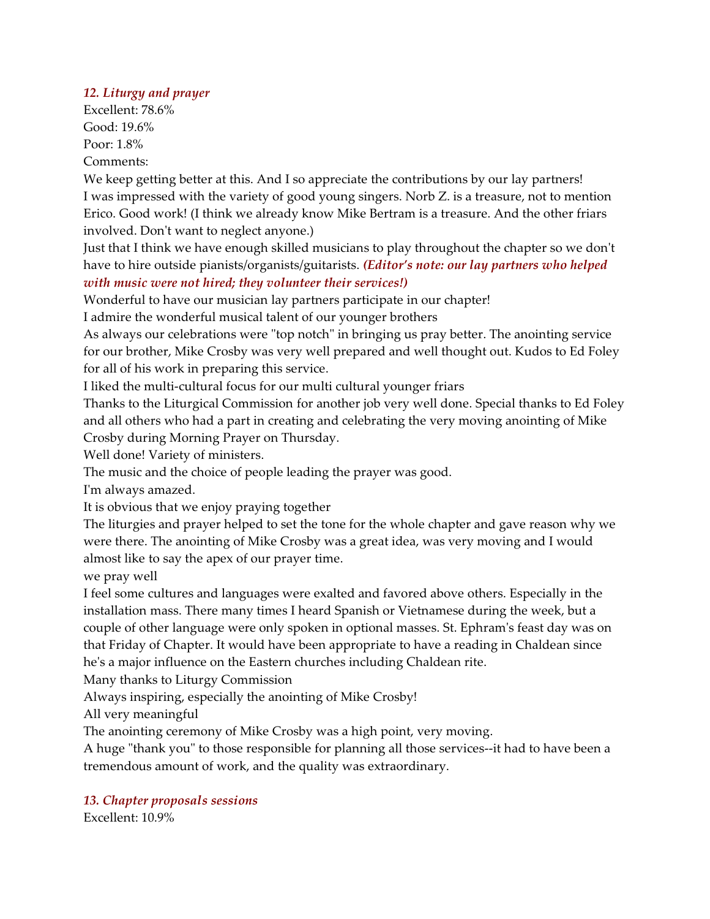## *12. Liturgy and prayer*

Excellent: 78.6% Good: 19.6% Poor: 1.8% Comments:

We keep getting better at this. And I so appreciate the contributions by our lay partners! I was impressed with the variety of good young singers. Norb Z. is a treasure, not to mention Erico. Good work! (I think we already know Mike Bertram is a treasure. And the other friars involved. Don't want to neglect anyone.)

Just that I think we have enough skilled musicians to play throughout the chapter so we don't have to hire outside pianists/organists/guitarists. *(Editor's note: our lay partners who helped with music were not hired; they volunteer their services!)*

Wonderful to have our musician lay partners participate in our chapter!

I admire the wonderful musical talent of our younger brothers

As always our celebrations were "top notch" in bringing us pray better. The anointing service for our brother, Mike Crosby was very well prepared and well thought out. Kudos to Ed Foley for all of his work in preparing this service.

I liked the multi-cultural focus for our multi cultural younger friars

Thanks to the Liturgical Commission for another job very well done. Special thanks to Ed Foley and all others who had a part in creating and celebrating the very moving anointing of Mike Crosby during Morning Prayer on Thursday.

Well done! Variety of ministers.

The music and the choice of people leading the prayer was good.

I'm always amazed.

It is obvious that we enjoy praying together

The liturgies and prayer helped to set the tone for the whole chapter and gave reason why we were there. The anointing of Mike Crosby was a great idea, was very moving and I would almost like to say the apex of our prayer time.

we pray well

I feel some cultures and languages were exalted and favored above others. Especially in the installation mass. There many times I heard Spanish or Vietnamese during the week, but a couple of other language were only spoken in optional masses. St. Ephram's feast day was on that Friday of Chapter. It would have been appropriate to have a reading in Chaldean since he's a major influence on the Eastern churches including Chaldean rite.

Many thanks to Liturgy Commission

Always inspiring, especially the anointing of Mike Crosby!

All very meaningful

The anointing ceremony of Mike Crosby was a high point, very moving.

A huge "thank you" to those responsible for planning all those services--it had to have been a tremendous amount of work, and the quality was extraordinary.

# *13. Chapter proposals sessions*

Excellent: 10.9%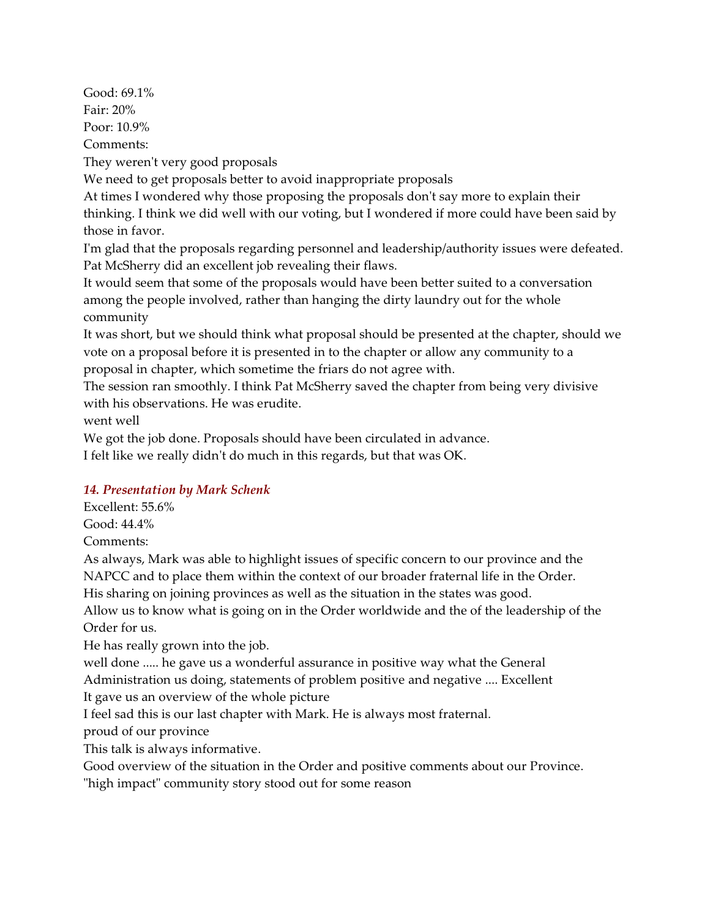Good: 69.1% Fair: 20% Poor: 10.9% Comments: They weren't very good proposals We need to get proposals better to avoid inappropriate proposals At times I wondered why those proposing the proposals don't say more to explain their thinking. I think we did well with our voting, but I wondered if more could have been said by those in favor. I'm glad that the proposals regarding personnel and leadership/authority issues were defeated. Pat McSherry did an excellent job revealing their flaws. It would seem that some of the proposals would have been better suited to a conversation among the people involved, rather than hanging the dirty laundry out for the whole community It was short, but we should think what proposal should be presented at the chapter, should we vote on a proposal before it is presented in to the chapter or allow any community to a proposal in chapter, which sometime the friars do not agree with. The session ran smoothly. I think Pat McSherry saved the chapter from being very divisive with his observations. He was erudite.

went well

We got the job done. Proposals should have been circulated in advance.

I felt like we really didn't do much in this regards, but that was OK.

## *14. Presentation by Mark Schenk*

Excellent: 55.6%

Good: 44.4%

Comments:

As always, Mark was able to highlight issues of specific concern to our province and the NAPCC and to place them within the context of our broader fraternal life in the Order. His sharing on joining provinces as well as the situation in the states was good.

Allow us to know what is going on in the Order worldwide and the of the leadership of the Order for us.

He has really grown into the job.

well done ..... he gave us a wonderful assurance in positive way what the General Administration us doing, statements of problem positive and negative .... Excellent

It gave us an overview of the whole picture

I feel sad this is our last chapter with Mark. He is always most fraternal.

proud of our province

This talk is always informative.

Good overview of the situation in the Order and positive comments about our Province.

"high impact" community story stood out for some reason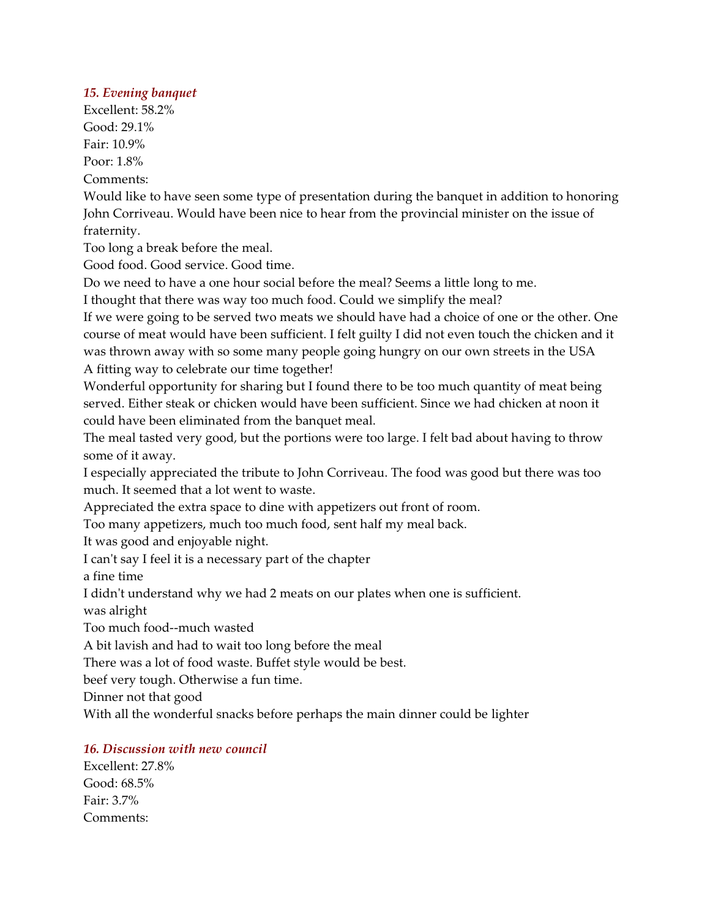#### *15. Evening banquet*

Excellent: 58.2% Good: 29.1% Fair: 10.9% Poor: 1.8%

Comments:

Would like to have seen some type of presentation during the banquet in addition to honoring John Corriveau. Would have been nice to hear from the provincial minister on the issue of fraternity.

Too long a break before the meal.

Good food. Good service. Good time.

Do we need to have a one hour social before the meal? Seems a little long to me.

I thought that there was way too much food. Could we simplify the meal?

If we were going to be served two meats we should have had a choice of one or the other. One course of meat would have been sufficient. I felt guilty I did not even touch the chicken and it was thrown away with so some many people going hungry on our own streets in the USA A fitting way to celebrate our time together!

Wonderful opportunity for sharing but I found there to be too much quantity of meat being served. Either steak or chicken would have been sufficient. Since we had chicken at noon it could have been eliminated from the banquet meal.

The meal tasted very good, but the portions were too large. I felt bad about having to throw some of it away.

I especially appreciated the tribute to John Corriveau. The food was good but there was too much. It seemed that a lot went to waste.

Appreciated the extra space to dine with appetizers out front of room.

Too many appetizers, much too much food, sent half my meal back.

It was good and enjoyable night.

I can't say I feel it is a necessary part of the chapter

a fine time

I didn't understand why we had 2 meats on our plates when one is sufficient.

was alright

Too much food--much wasted

A bit lavish and had to wait too long before the meal

There was a lot of food waste. Buffet style would be best.

beef very tough. Otherwise a fun time.

Dinner not that good

With all the wonderful snacks before perhaps the main dinner could be lighter

#### *16. Discussion with new council*

Excellent: 27.8% Good: 68.5% Fair: 3.7% Comments: